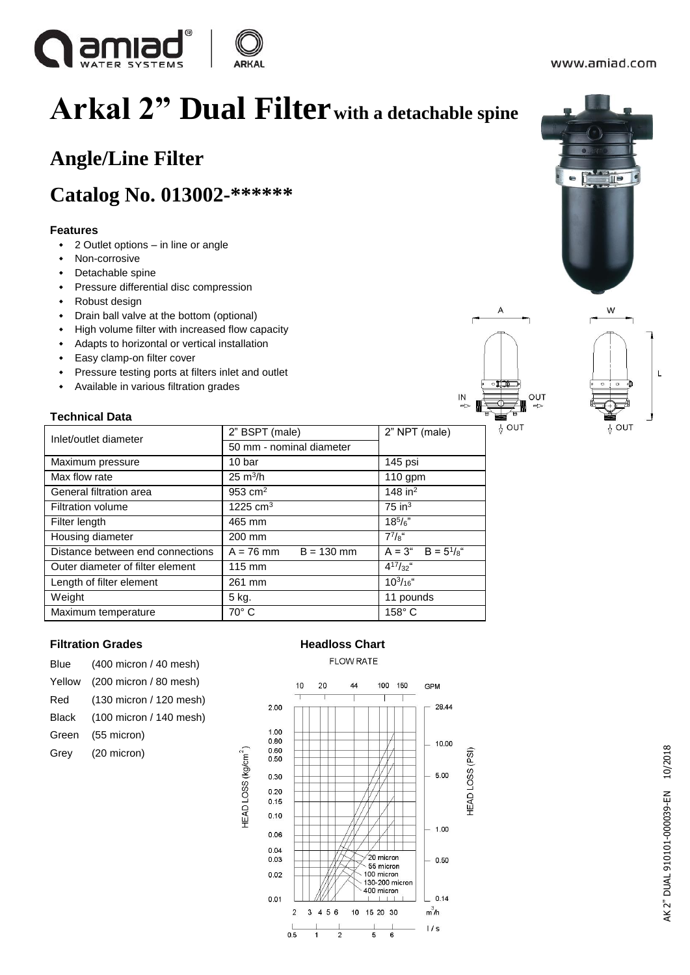

 $\mathbf{r}$ 

# **Arkal 2" Dual Filterwith a detachable spine**

### **Angle/Line Filter**

### **Catalog No. 013002-\*\*\*\*\*\***

#### **Features**

- 2 Outlet options in line or angle
- Non-corrosive
- Detachable spine
- Pressure differential disc compression
- Robust design
- Drain ball valve at the bottom (optional)
- High volume filter with increased flow capacity
- Adapts to horizontal or vertical installation
- Easy clamp-on filter cover
- Pressure testing ports at filters inlet and outlet
- Available in various filtration grades

#### **Technical Data**

| Inlet/outlet diameter            | 2" BSPT (male)              | 2" NPT (male)                 |
|----------------------------------|-----------------------------|-------------------------------|
|                                  | 50 mm - nominal diameter    |                               |
| Maximum pressure                 | 10 bar                      | 145 psi                       |
| Max flow rate                    | $25 \text{ m}^3/h$          | $110$ gpm                     |
| General filtration area          | 953 $cm2$                   | 148 in $^2$                   |
| <b>Filtration volume</b>         | 1225 $cm3$                  | $75$ in <sup>3</sup>          |
| Filter length                    | 465 mm                      | $18^{5}/6$                    |
| Housing diameter                 | 200 mm                      | $7^{7}/s$ "                   |
| Distance between end connections | $A = 76$ mm<br>$B = 130$ mm | $A = 3^{u}$ B = $5^{1}/s^{u}$ |
| Outer diameter of filter element | 115 mm                      | $4^{17}/32$ "                 |
| Length of filter element         | 261 mm                      | $10^{3}/_{16}$ "              |
| Weight                           | 5 kg.                       | 11 pounds                     |
| Maximum temperature              | 70° C<br>158°C              |                               |

### **Filtration Grades Mateural Expansion Chart Headloss Chart**

| Blue   | (400 micron / 40 mesh)  |
|--------|-------------------------|
| Yellow | (200 micron / 80 mesh)  |
| Red    | (130 micron / 120 mesh) |
| Black  | (100 micron / 140 mesh) |
| Green  | (55 micron)             |
| Grey   | (20 micron)             |
|        |                         |

#### **FLOW RATE**







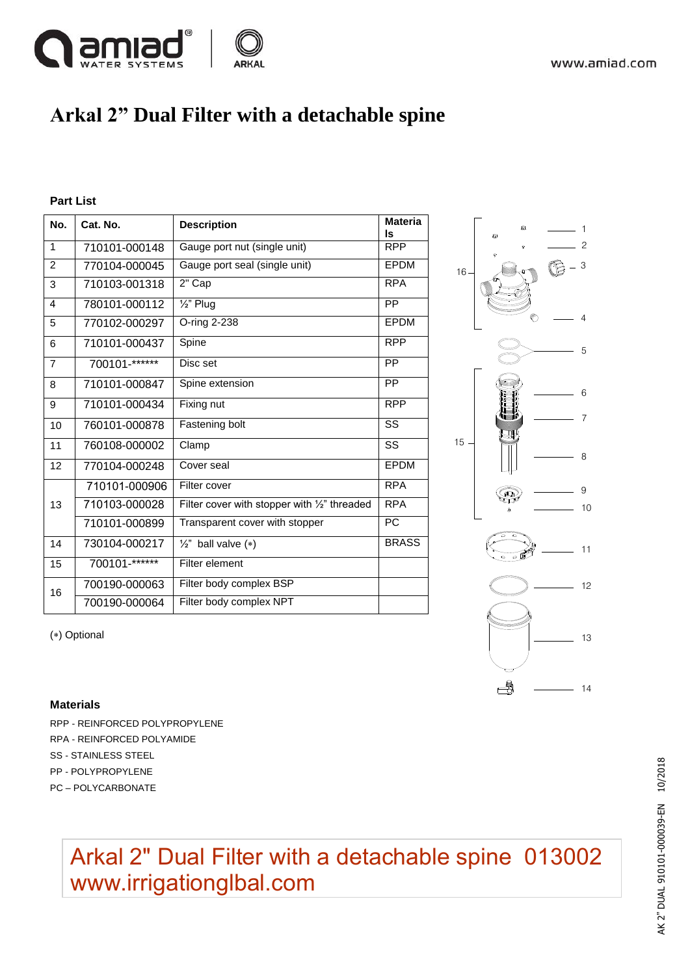

### **Arkal 2" Dual Filter with a detachable spine**

#### **Part List**

| No.            | Cat. No.      | <b>Description</b>                           | <b>Materia</b><br>ls   |
|----------------|---------------|----------------------------------------------|------------------------|
| 1              | 710101-000148 | Gauge port nut (single unit)                 | <b>RPP</b>             |
| 2              | 770104-000045 | Gauge port seal (single unit)                | EPDM                   |
| 3              | 710103-001318 | 2" Cap                                       | <b>RPA</b>             |
| 4              | 780101-000112 | $\overline{\frac{1}{2}}$ " Plug              | PP                     |
| 5              | 770102-000297 | O-ring 2-238                                 | EPDM                   |
| 6              | 710101-000437 | Spine                                        | <b>RPP</b>             |
| $\overline{7}$ | 700101-****** | Disc set                                     | <b>PP</b>              |
| 8              | 710101-000847 | Spine extension                              | <b>PP</b>              |
| 9              | 710101-000434 | Fixing nut                                   | <b>RPP</b>             |
| 10             | 760101-000878 | Fastening bolt                               | $\overline{\text{ss}}$ |
| 11             | 760108-000002 | Clamp                                        | SS                     |
| 12             | 770104-000248 | Cover seal                                   | EPDM                   |
| 13             | 710101-000906 | Filter cover                                 | <b>RPA</b>             |
|                | 710103-000028 | Filter cover with stopper with 1/2" threaded | <b>RPA</b>             |
|                | 710101-000899 | Transparent cover with stopper               | <b>PC</b>              |
| 14             | 730104-000217 | $\frac{1}{2}$ " ball valve (*)               | <b>BRASS</b>           |
| 15             | 700101-****** | Filter element                               |                        |
| 16             | 700190-000063 | Filter body complex BSP                      |                        |
|                | 700190-000064 | Filter body complex NPT                      |                        |



(\*) Optional

#### **Materials**

- RPP REINFORCED POLYPROPYLENE RPA - REINFORCED POLYAMIDE SS - STAINLESS STEEL PP - POLYPROPYLENE
- PC POLYCARBONATE

## Arkal 2" Dual Filter with a detachable spine 013002 [www.irrigationglbal.com](https://www.irrigationglobal.com/contents/en-us/d26_arkal_manual_disc_filters.html)